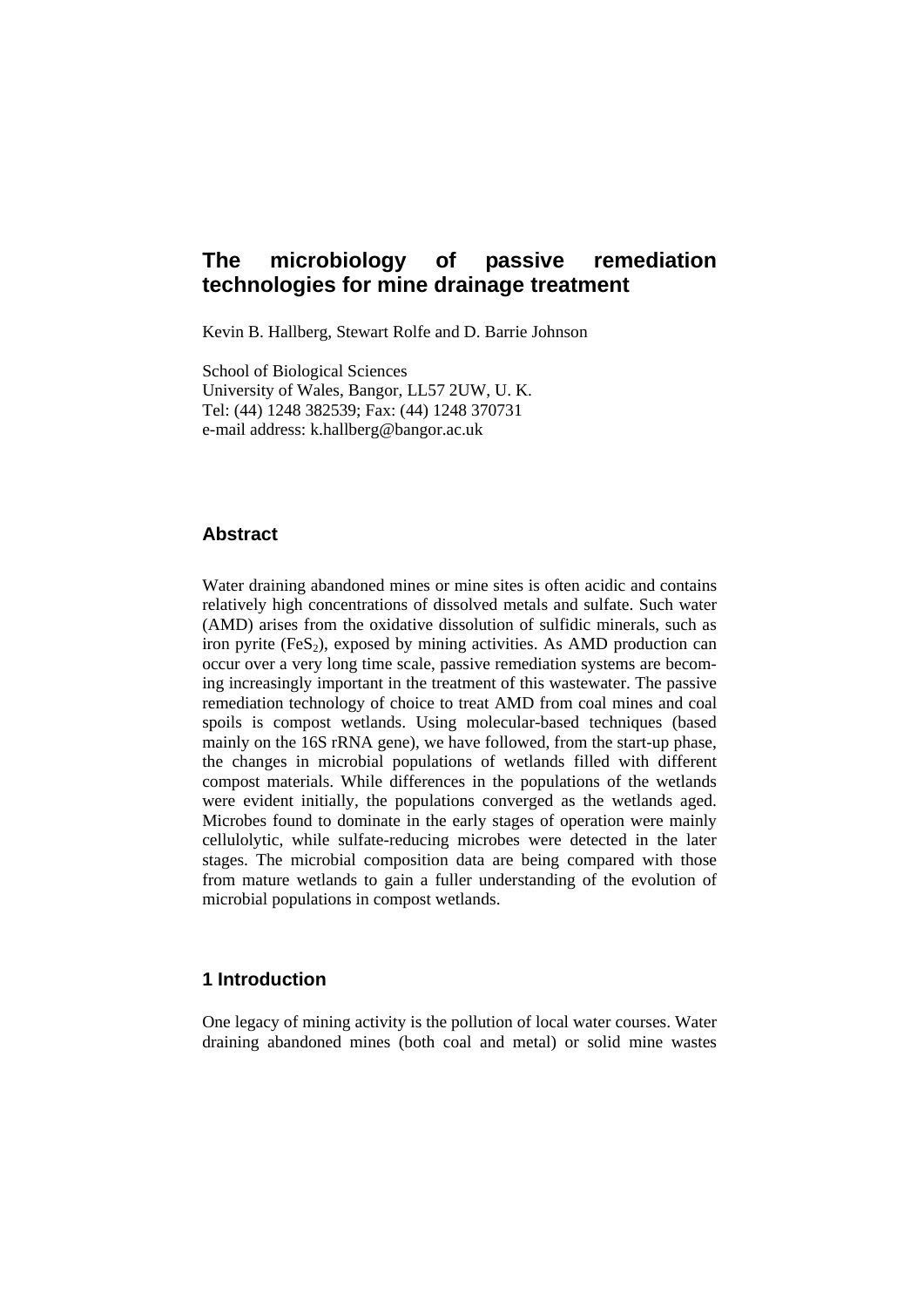# **The microbiology of passive remediation technologies for mine drainage treatment**

Kevin B. Hallberg, Stewart Rolfe and D. Barrie Johnson

School of Biological Sciences University of Wales, Bangor, LL57 2UW, U. K. Tel: (44) 1248 382539; Fax: (44) 1248 370731 e-mail address: k.hallberg@bangor.ac.uk

# **Abstract**

Water draining abandoned mines or mine sites is often acidic and contains relatively high concentrations of dissolved metals and sulfate. Such water (AMD) arises from the oxidative dissolution of sulfidic minerals, such as iron pyrite  $(F \in S_2)$ , exposed by mining activities. As AMD production can occur over a very long time scale, passive remediation systems are becoming increasingly important in the treatment of this wastewater. The passive remediation technology of choice to treat AMD from coal mines and coal spoils is compost wetlands. Using molecular-based techniques (based mainly on the 16S rRNA gene), we have followed, from the start-up phase, the changes in microbial populations of wetlands filled with different compost materials. While differences in the populations of the wetlands were evident initially, the populations converged as the wetlands aged. Microbes found to dominate in the early stages of operation were mainly cellulolytic, while sulfate-reducing microbes were detected in the later stages. The microbial composition data are being compared with those from mature wetlands to gain a fuller understanding of the evolution of microbial populations in compost wetlands.

### **1 Introduction**

One legacy of mining activity is the pollution of local water courses. Water draining abandoned mines (both coal and metal) or solid mine wastes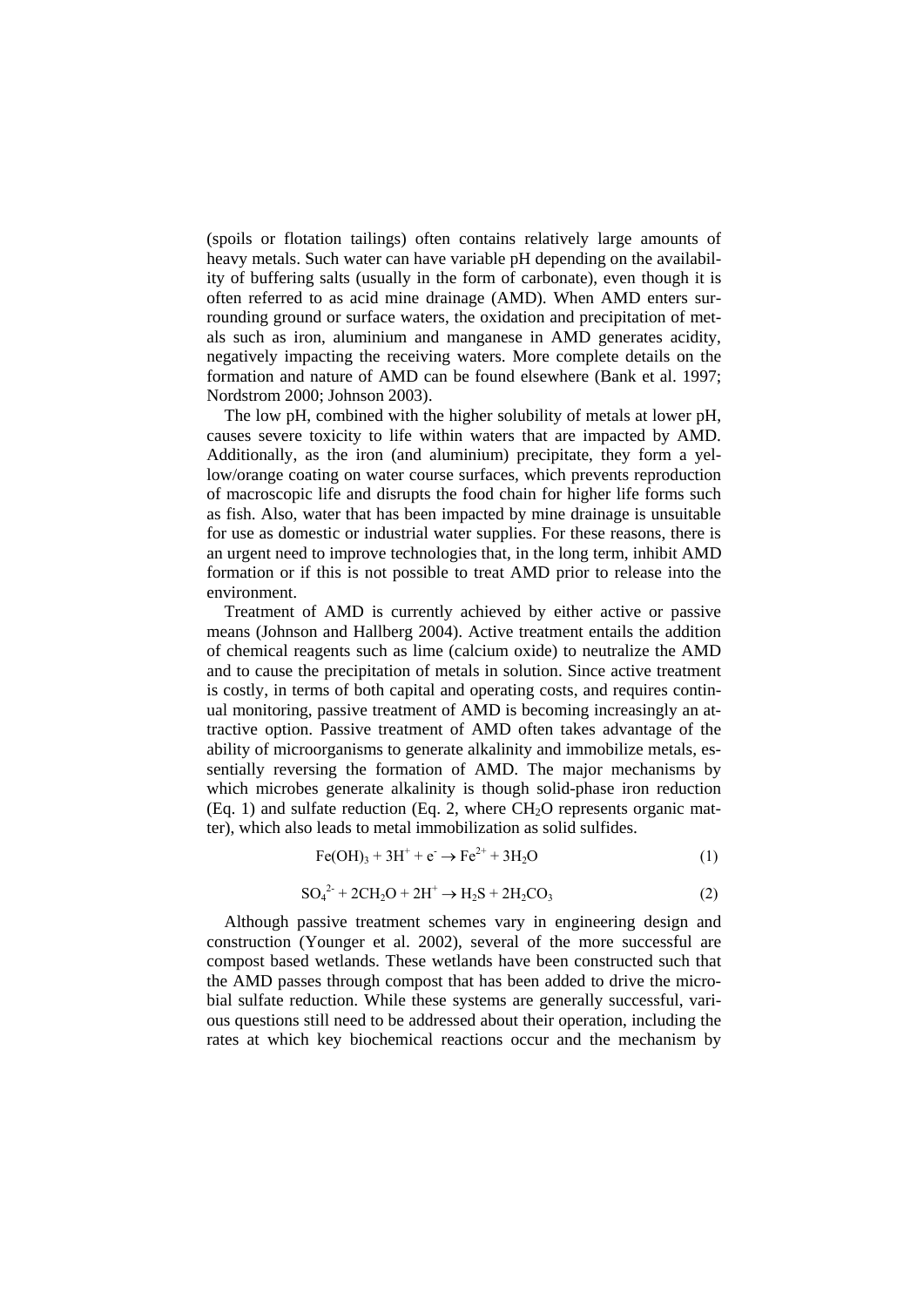(spoils or flotation tailings) often contains relatively large amounts of heavy metals. Such water can have variable pH depending on the availability of buffering salts (usually in the form of carbonate), even though it is often referred to as acid mine drainage (AMD). When AMD enters surrounding ground or surface waters, the oxidation and precipitation of metals such as iron, aluminium and manganese in AMD generates acidity, negatively impacting the receiving waters. More complete details on the formation and nature of AMD can be found elsewhere (Bank et al. 1997; Nordstrom 2000; Johnson 2003).

The low pH, combined with the higher solubility of metals at lower pH, causes severe toxicity to life within waters that are impacted by AMD. Additionally, as the iron (and aluminium) precipitate, they form a yellow/orange coating on water course surfaces, which prevents reproduction of macroscopic life and disrupts the food chain for higher life forms such as fish. Also, water that has been impacted by mine drainage is unsuitable for use as domestic or industrial water supplies. For these reasons, there is an urgent need to improve technologies that, in the long term, inhibit AMD formation or if this is not possible to treat AMD prior to release into the environment.

Treatment of AMD is currently achieved by either active or passive means (Johnson and Hallberg 2004). Active treatment entails the addition of chemical reagents such as lime (calcium oxide) to neutralize the AMD and to cause the precipitation of metals in solution. Since active treatment is costly, in terms of both capital and operating costs, and requires continual monitoring, passive treatment of AMD is becoming increasingly an attractive option. Passive treatment of AMD often takes advantage of the ability of microorganisms to generate alkalinity and immobilize metals, essentially reversing the formation of AMD. The major mechanisms by which microbes generate alkalinity is though solid-phase iron reduction  $(Eq. 1)$  and sulfate reduction  $(Eq. 2)$ , where  $CH<sub>2</sub>O$  represents organic matter), which also leads to metal immobilization as solid sulfides.

$$
Fe(OH)3 + 3H+ + e- \rightarrow Fe2+ + 3H2O
$$
 (1)

$$
SO_4^{2-} + 2CH_2O + 2H^+ \to H_2S + 2H_2CO_3
$$
 (2)

Although passive treatment schemes vary in engineering design and construction (Younger et al. 2002), several of the more successful are compost based wetlands. These wetlands have been constructed such that the AMD passes through compost that has been added to drive the microbial sulfate reduction. While these systems are generally successful, various questions still need to be addressed about their operation, including the rates at which key biochemical reactions occur and the mechanism by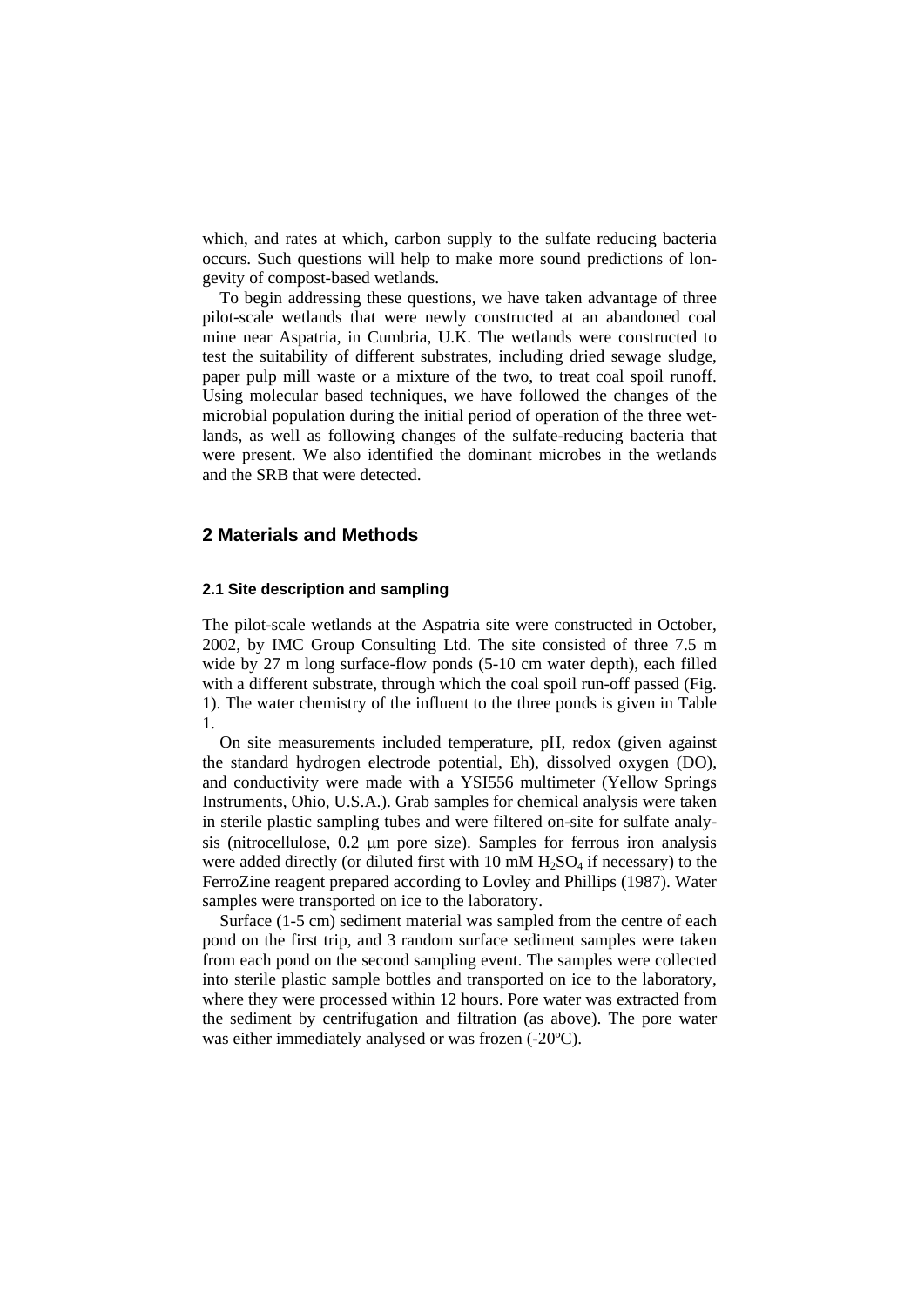which, and rates at which, carbon supply to the sulfate reducing bacteria occurs. Such questions will help to make more sound predictions of longevity of compost-based wetlands.

To begin addressing these questions, we have taken advantage of three pilot-scale wetlands that were newly constructed at an abandoned coal mine near Aspatria, in Cumbria, U.K. The wetlands were constructed to test the suitability of different substrates, including dried sewage sludge, paper pulp mill waste or a mixture of the two, to treat coal spoil runoff. Using molecular based techniques, we have followed the changes of the microbial population during the initial period of operation of the three wetlands, as well as following changes of the sulfate-reducing bacteria that were present. We also identified the dominant microbes in the wetlands and the SRB that were detected.

# **2 Materials and Methods**

#### **2.1 Site description and sampling**

The pilot-scale wetlands at the Aspatria site were constructed in October, 2002, by IMC Group Consulting Ltd. The site consisted of three 7.5 m wide by 27 m long surface-flow ponds (5-10 cm water depth), each filled with a different substrate, through which the coal spoil run-off passed (Fig. 1). The water chemistry of the influent to the three ponds is given in Table 1.

On site measurements included temperature, pH, redox (given against the standard hydrogen electrode potential, Eh), dissolved oxygen (DO), and conductivity were made with a YSI556 multimeter (Yellow Springs Instruments, Ohio, U.S.A.). Grab samples for chemical analysis were taken in sterile plastic sampling tubes and were filtered on-site for sulfate analysis (nitrocellulose, 0.2 μm pore size). Samples for ferrous iron analysis were added directly (or diluted first with  $10 \text{ mM H}_2\text{SO}_4$  if necessary) to the FerroZine reagent prepared according to Lovley and Phillips (1987). Water samples were transported on ice to the laboratory.

Surface (1-5 cm) sediment material was sampled from the centre of each pond on the first trip, and 3 random surface sediment samples were taken from each pond on the second sampling event. The samples were collected into sterile plastic sample bottles and transported on ice to the laboratory, where they were processed within 12 hours. Pore water was extracted from the sediment by centrifugation and filtration (as above). The pore water was either immediately analysed or was frozen (-20ºC).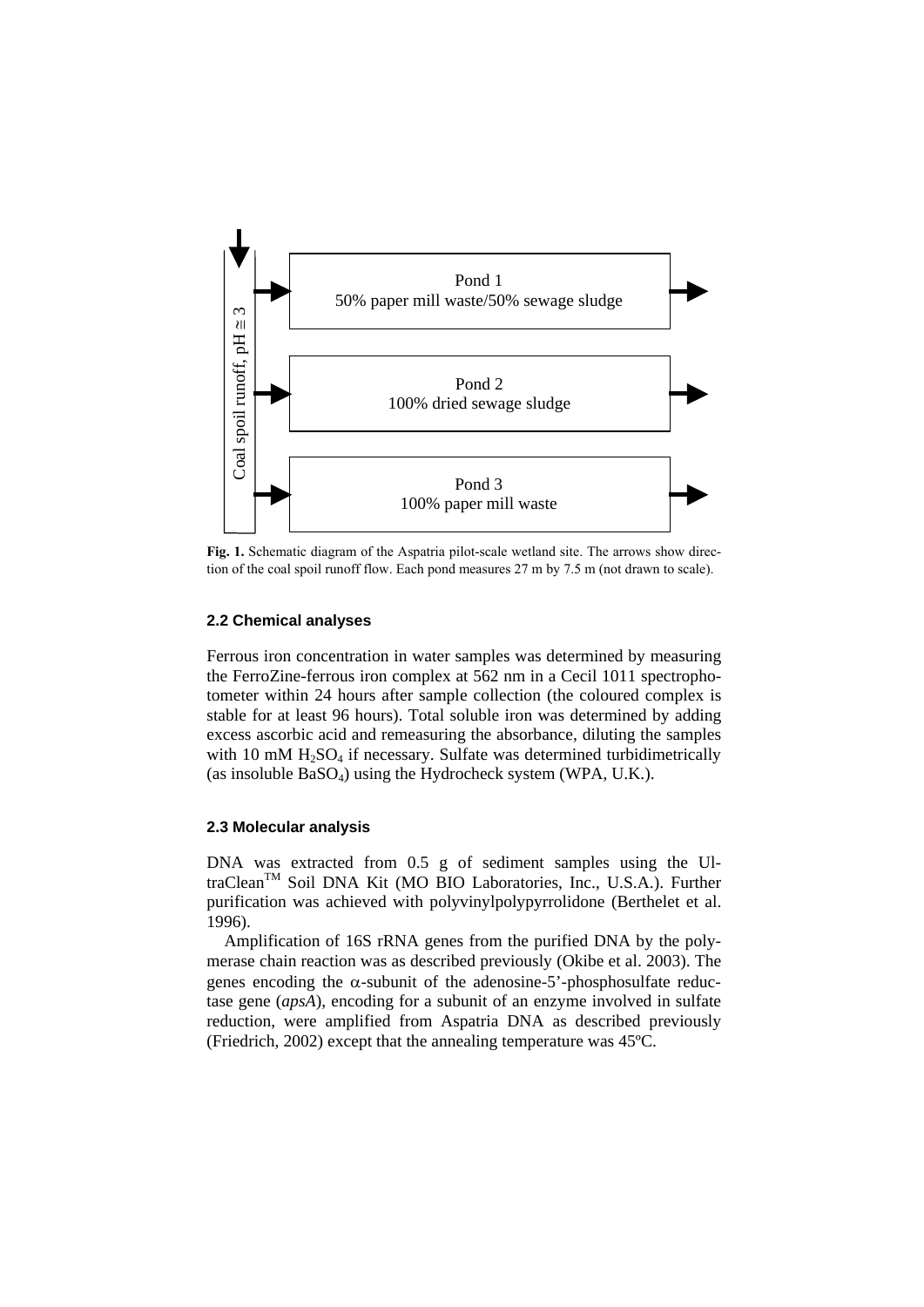

**Fig. 1.** Schematic diagram of the Aspatria pilot-scale wetland site. The arrows show direction of the coal spoil runoff flow. Each pond measures 27 m by 7.5 m (not drawn to scale).

#### **2.2 Chemical analyses**

Ferrous iron concentration in water samples was determined by measuring the FerroZine-ferrous iron complex at 562 nm in a Cecil 1011 spectrophotometer within 24 hours after sample collection (the coloured complex is stable for at least 96 hours). Total soluble iron was determined by adding excess ascorbic acid and remeasuring the absorbance, diluting the samples with 10 mM  $H<sub>2</sub>SO<sub>4</sub>$  if necessary. Sulfate was determined turbidimetrically (as insoluble  $BaSO<sub>4</sub>$ ) using the Hydrocheck system (WPA, U.K.).

#### **2.3 Molecular analysis**

DNA was extracted from 0.5 g of sediment samples using the UltraClean<sup>™</sup> Soil DNA Kit (MO BIO Laboratories, Inc., U.S.A.). Further purification was achieved with polyvinylpolypyrrolidone (Berthelet et al. 1996).

Amplification of 16S rRNA genes from the purified DNA by the polymerase chain reaction was as described previously (Okibe et al. 2003). The genes encoding the  $\alpha$ -subunit of the adenosine-5'-phosphosulfate reductase gene (*apsA*), encoding for a subunit of an enzyme involved in sulfate reduction, were amplified from Aspatria DNA as described previously (Friedrich, 2002) except that the annealing temperature was 45ºC.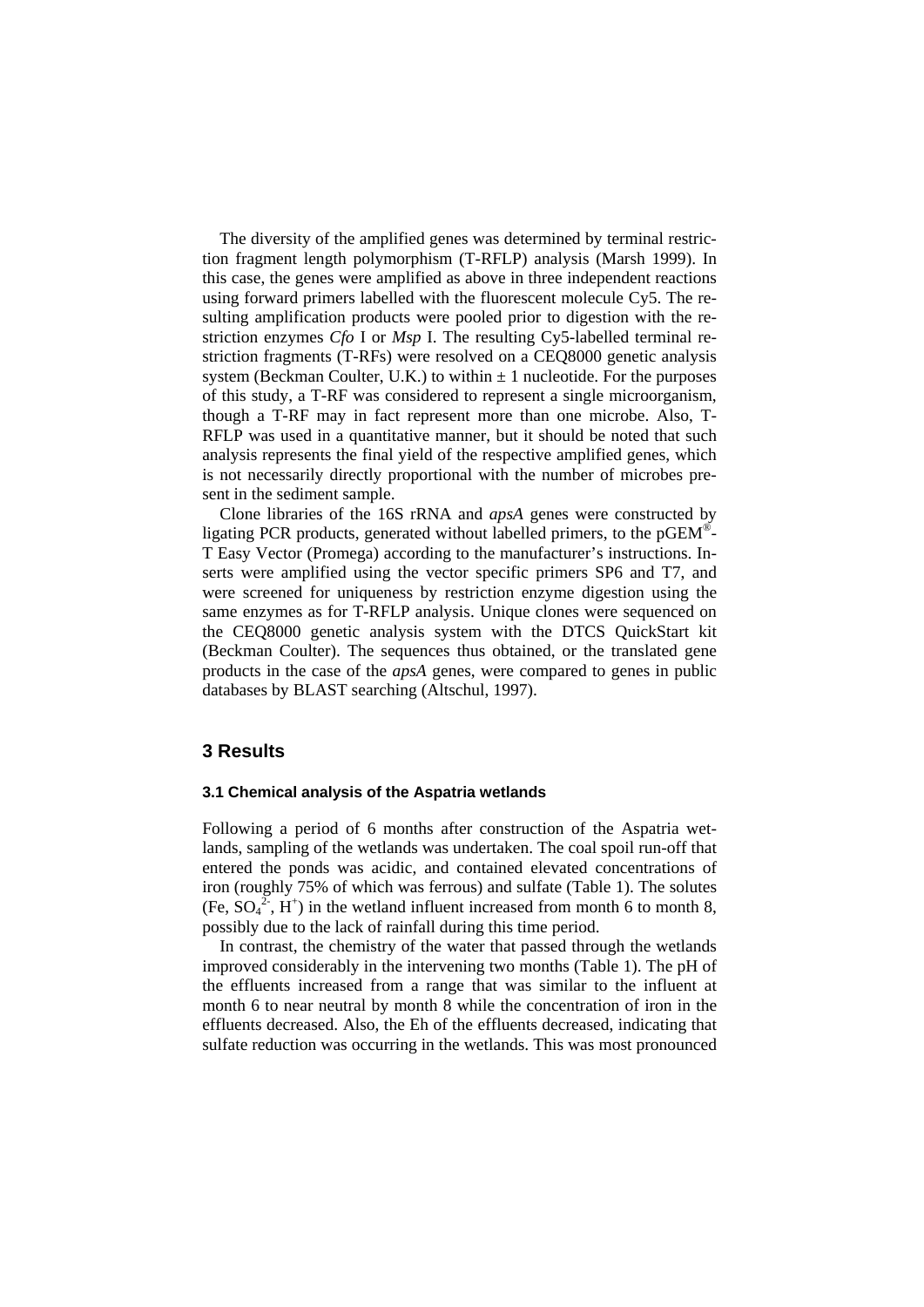The diversity of the amplified genes was determined by terminal restriction fragment length polymorphism (T-RFLP) analysis (Marsh 1999). In this case, the genes were amplified as above in three independent reactions using forward primers labelled with the fluorescent molecule Cy5. The resulting amplification products were pooled prior to digestion with the restriction enzymes *Cfo* I or *Msp* I. The resulting Cy5-labelled terminal restriction fragments (T-RFs) were resolved on a CEQ8000 genetic analysis system (Beckman Coulter, U.K.) to within  $\pm 1$  nucleotide. For the purposes of this study, a T-RF was considered to represent a single microorganism, though a T-RF may in fact represent more than one microbe. Also, T-RFLP was used in a quantitative manner, but it should be noted that such analysis represents the final yield of the respective amplified genes, which is not necessarily directly proportional with the number of microbes present in the sediment sample.

Clone libraries of the 16S rRNA and *apsA* genes were constructed by ligating PCR products, generated without labelled primers, to the pGEM®- T Easy Vector (Promega) according to the manufacturer's instructions. Inserts were amplified using the vector specific primers SP6 and T7, and were screened for uniqueness by restriction enzyme digestion using the same enzymes as for T-RFLP analysis. Unique clones were sequenced on the CEQ8000 genetic analysis system with the DTCS QuickStart kit (Beckman Coulter). The sequences thus obtained, or the translated gene products in the case of the *apsA* genes, were compared to genes in public databases by BLAST searching (Altschul, 1997).

### **3 Results**

#### **3.1 Chemical analysis of the Aspatria wetlands**

Following a period of 6 months after construction of the Aspatria wetlands, sampling of the wetlands was undertaken. The coal spoil run-off that entered the ponds was acidic, and contained elevated concentrations of iron (roughly 75% of which was ferrous) and sulfate (Table 1). The solutes (Fe,  $SO_4^2$ , H<sup>+</sup>) in the wetland influent increased from month 6 to month 8, possibly due to the lack of rainfall during this time period.

In contrast, the chemistry of the water that passed through the wetlands improved considerably in the intervening two months (Table 1). The pH of the effluents increased from a range that was similar to the influent at month 6 to near neutral by month 8 while the concentration of iron in the effluents decreased. Also, the Eh of the effluents decreased, indicating that sulfate reduction was occurring in the wetlands. This was most pronounced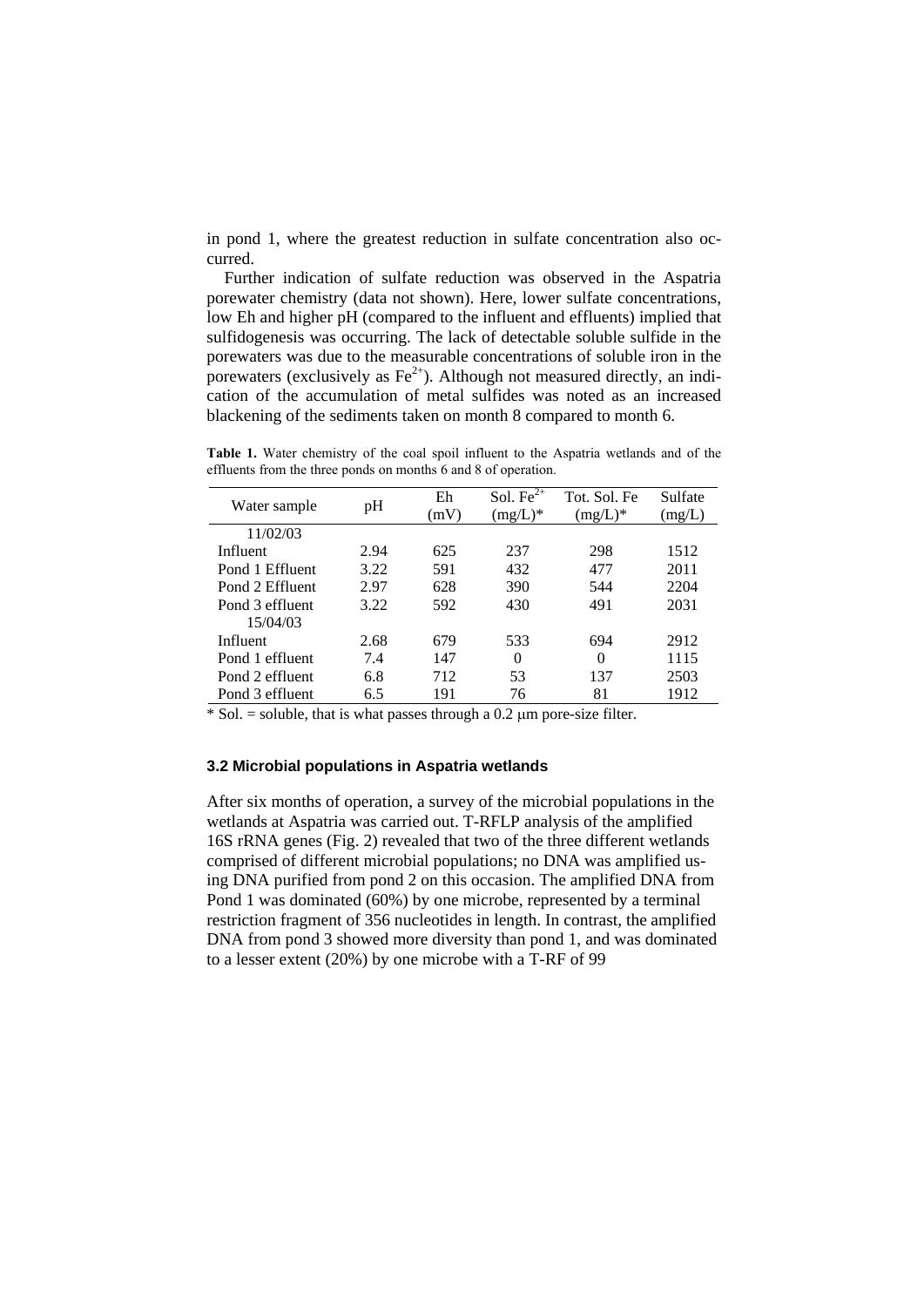in pond 1, where the greatest reduction in sulfate concentration also occurred.

Further indication of sulfate reduction was observed in the Aspatria porewater chemistry (data not shown). Here, lower sulfate concentrations, low Eh and higher pH (compared to the influent and effluents) implied that sulfidogenesis was occurring. The lack of detectable soluble sulfide in the porewaters was due to the measurable concentrations of soluble iron in the porewaters (exclusively as  $Fe^{2+}$ ). Although not measured directly, an indication of the accumulation of metal sulfides was noted as an increased blackening of the sediments taken on month 8 compared to month 6.

**Table 1.** Water chemistry of the coal spoil influent to the Aspatria wetlands and of the effluents from the three ponds on months 6 and 8 of operation.

| Water sample    | pH   | Eh<br>(mV) | Sol. Fe $2^{\overline{+}}$<br>$(mg/L)^*$ | Tot. Sol. Fe<br>$(mg/L)^*$ | Sulfate<br>(mg/L) |
|-----------------|------|------------|------------------------------------------|----------------------------|-------------------|
| 11/02/03        |      |            |                                          |                            |                   |
| Influent        | 2.94 | 625        | 237                                      | 298                        | 1512              |
| Pond 1 Effluent | 3.22 | 591        | 432                                      | 477                        | 2011              |
| Pond 2 Effluent | 2.97 | 628        | 390                                      | 544                        | 2204              |
| Pond 3 effluent | 3.22 | 592        | 430                                      | 491                        | 2031              |
| 15/04/03        |      |            |                                          |                            |                   |
| Influent        | 2.68 | 679        | 533                                      | 694                        | 2912              |
| Pond 1 effluent | 7.4  | 147        | $\theta$                                 | 0                          | 1115              |
| Pond 2 effluent | 6.8  | 712        | 53                                       | 137                        | 2503              |
| Pond 3 effluent | 6.5  | 191        | 76                                       | 81                         | 1912              |

 $*$  Sol. = soluble, that is what passes through a 0.2  $\mu$ m pore-size filter.

#### **3.2 Microbial populations in Aspatria wetlands**

After six months of operation, a survey of the microbial populations in the wetlands at Aspatria was carried out. T-RFLP analysis of the amplified 16S rRNA genes (Fig. 2) revealed that two of the three different wetlands comprised of different microbial populations; no DNA was amplified using DNA purified from pond 2 on this occasion. The amplified DNA from Pond 1 was dominated (60%) by one microbe, represented by a terminal restriction fragment of 356 nucleotides in length. In contrast, the amplified DNA from pond 3 showed more diversity than pond 1, and was dominated to a lesser extent (20%) by one microbe with a T-RF of 99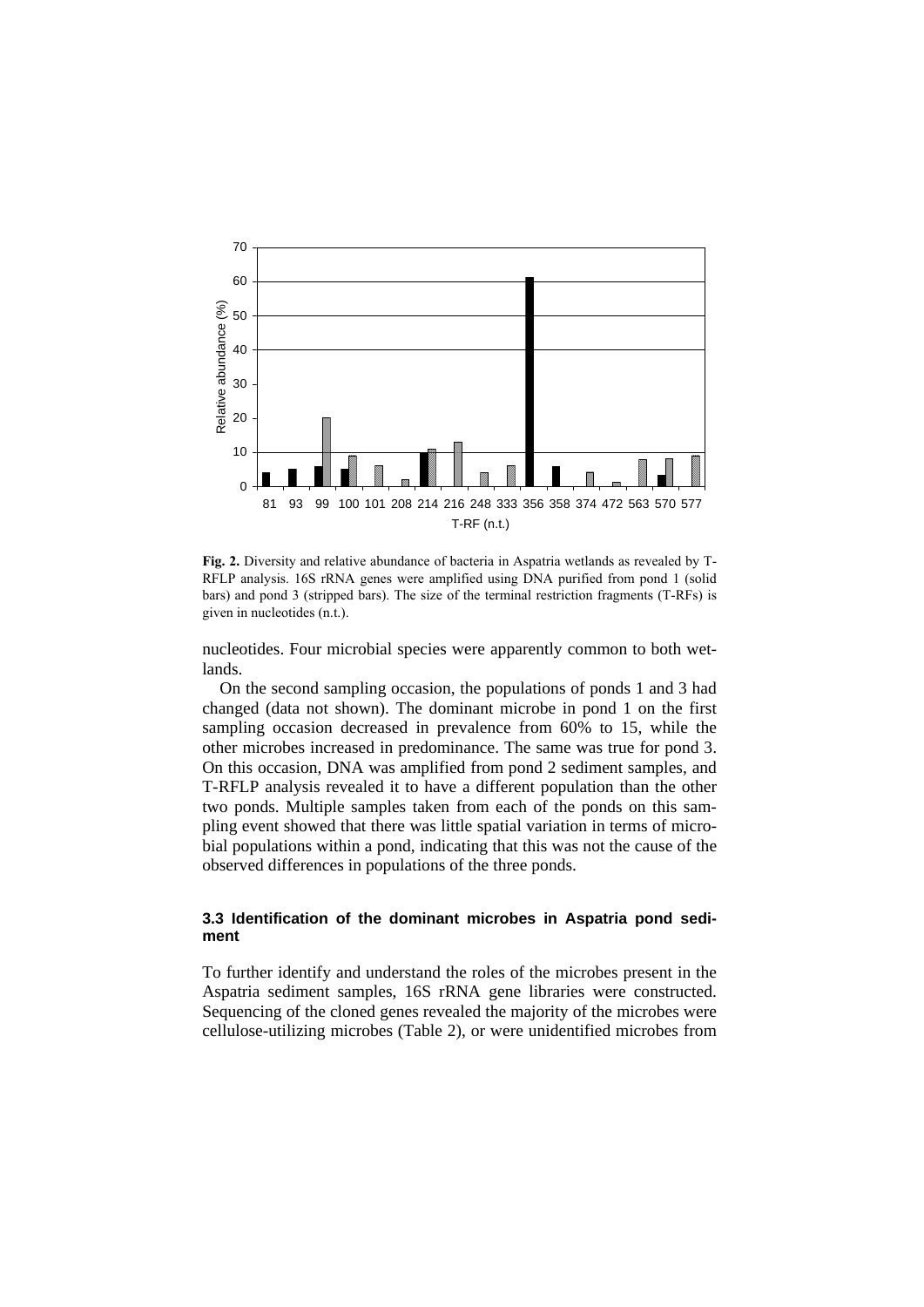

**Fig. 2.** Diversity and relative abundance of bacteria in Aspatria wetlands as revealed by T-RFLP analysis. 16S rRNA genes were amplified using DNA purified from pond 1 (solid bars) and pond 3 (stripped bars). The size of the terminal restriction fragments (T-RFs) is given in nucleotides (n.t.).

nucleotides. Four microbial species were apparently common to both wetlands.

On the second sampling occasion, the populations of ponds 1 and 3 had changed (data not shown). The dominant microbe in pond 1 on the first sampling occasion decreased in prevalence from 60% to 15, while the other microbes increased in predominance. The same was true for pond 3. On this occasion, DNA was amplified from pond 2 sediment samples, and T-RFLP analysis revealed it to have a different population than the other two ponds. Multiple samples taken from each of the ponds on this sampling event showed that there was little spatial variation in terms of microbial populations within a pond, indicating that this was not the cause of the observed differences in populations of the three ponds.

#### **3.3 Identification of the dominant microbes in Aspatria pond sediment**

To further identify and understand the roles of the microbes present in the Aspatria sediment samples, 16S rRNA gene libraries were constructed. Sequencing of the cloned genes revealed the majority of the microbes were cellulose-utilizing microbes (Table 2), or were unidentified microbes from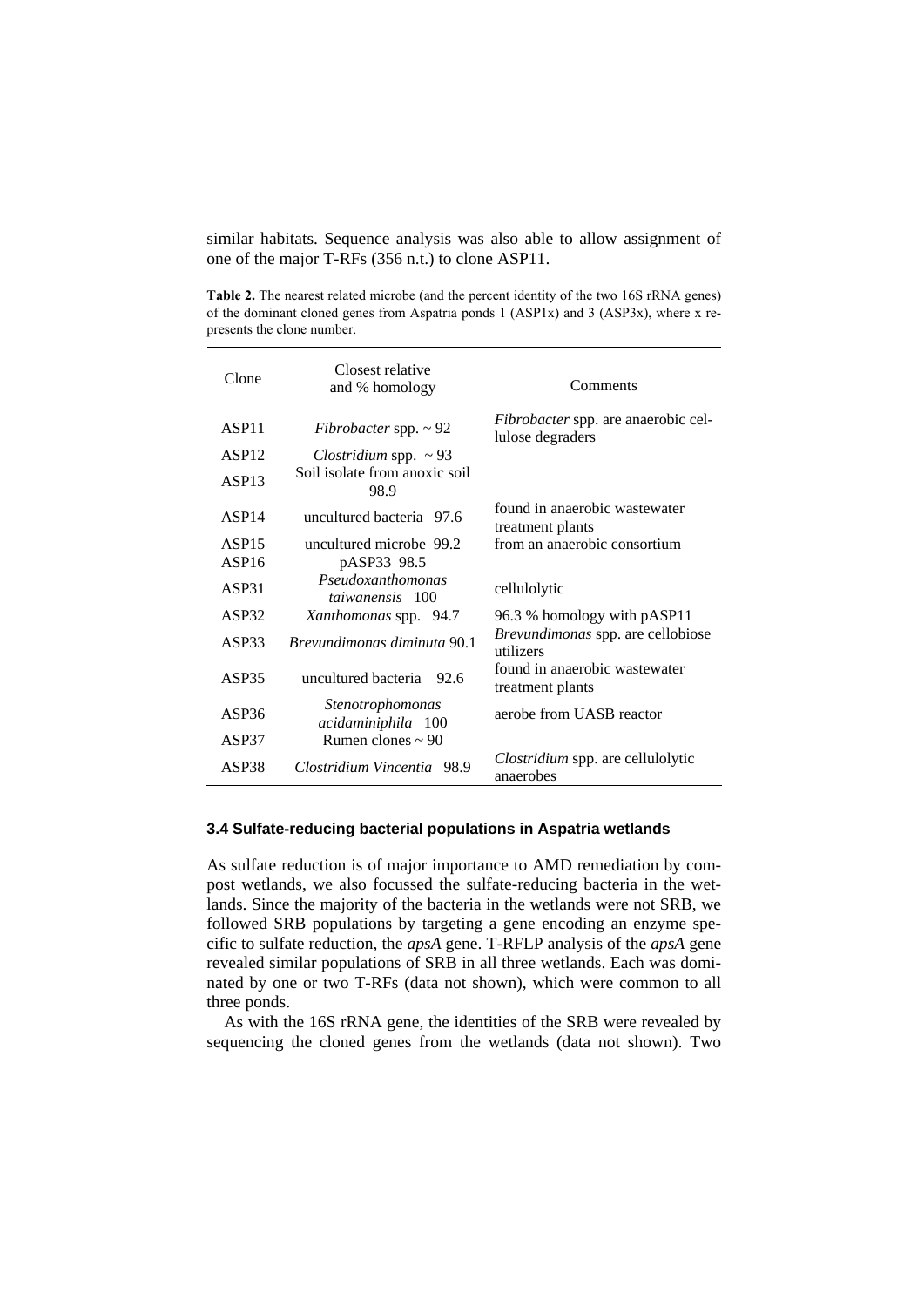similar habitats. Sequence analysis was also able to allow assignment of one of the major T-RFs (356 n.t.) to clone ASP11.

**Table 2.** The nearest related microbe (and the percent identity of the two 16S rRNA genes) of the dominant cloned genes from Aspatria ponds 1 (ASP1x) and 3 (ASP3x), where x represents the clone number.

| Clone             | Closest relative<br>and % homology          | Comments                                                       |  |
|-------------------|---------------------------------------------|----------------------------------------------------------------|--|
| ASP <sub>11</sub> | Fibrobacter spp. $\sim$ 92                  | <i>Fibrobacter</i> spp. are anaerobic cel-<br>lulose degraders |  |
| ASP12             | Clostridium spp. $\sim$ 93                  |                                                                |  |
| ASP <sub>13</sub> | Soil isolate from anoxic soil<br>98.9       |                                                                |  |
| ASP14             | uncultured bacteria 97.6                    | found in anaerobic wastewater<br>treatment plants              |  |
| ASP <sub>15</sub> | uncultured microbe 99.2                     | from an anaerobic consortium                                   |  |
| ASP16             | pASP33 98.5                                 |                                                                |  |
| ASP31             | Pseudoxanthomonas<br><i>taiwanensis</i> 100 | cellulolytic                                                   |  |
| ASP32             | Xanthomonas spp. 94.7                       | 96.3 % homology with pASP11                                    |  |
| ASP33             | <i>Brevundimonas diminuta</i> 90.1          | Brevundimonas spp. are cellobiose<br>utilizers                 |  |
| ASP35             | uncultured bacteria<br>- 92.6               | found in anaerobic wastewater<br>treatment plants              |  |
| ASP36             | Stenotrophomonas<br>acidaminiphila 100      | aerobe from UASB reactor                                       |  |
| ASP37             | Rumen clones $\sim$ 90                      |                                                                |  |
| ASP38             | Clostridium Vincentia 98.9                  | <i>Clostridium</i> spp. are cellulolytic<br>anaerobes          |  |

### **3.4 Sulfate-reducing bacterial populations in Aspatria wetlands**

As sulfate reduction is of major importance to AMD remediation by compost wetlands, we also focussed the sulfate-reducing bacteria in the wetlands. Since the majority of the bacteria in the wetlands were not SRB, we followed SRB populations by targeting a gene encoding an enzyme specific to sulfate reduction, the *apsA* gene. T-RFLP analysis of the *apsA* gene revealed similar populations of SRB in all three wetlands. Each was dominated by one or two T-RFs (data not shown), which were common to all three ponds.

As with the 16S rRNA gene, the identities of the SRB were revealed by sequencing the cloned genes from the wetlands (data not shown). Two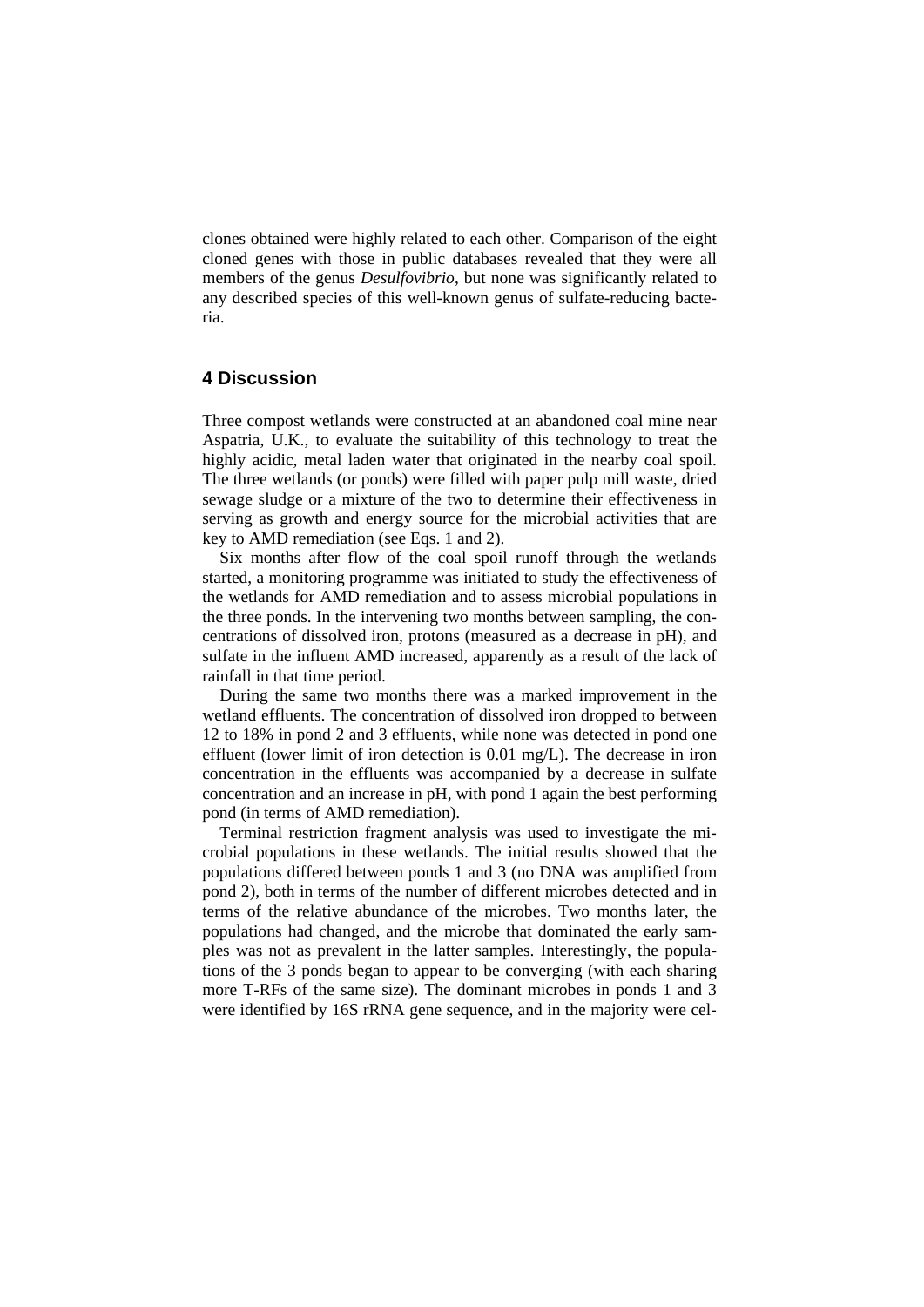clones obtained were highly related to each other. Comparison of the eight cloned genes with those in public databases revealed that they were all members of the genus *Desulfovibrio*, but none was significantly related to any described species of this well-known genus of sulfate-reducing bacteria.

### **4 Discussion**

Three compost wetlands were constructed at an abandoned coal mine near Aspatria, U.K., to evaluate the suitability of this technology to treat the highly acidic, metal laden water that originated in the nearby coal spoil. The three wetlands (or ponds) were filled with paper pulp mill waste, dried sewage sludge or a mixture of the two to determine their effectiveness in serving as growth and energy source for the microbial activities that are key to AMD remediation (see Eqs. 1 and 2).

Six months after flow of the coal spoil runoff through the wetlands started, a monitoring programme was initiated to study the effectiveness of the wetlands for AMD remediation and to assess microbial populations in the three ponds. In the intervening two months between sampling, the concentrations of dissolved iron, protons (measured as a decrease in pH), and sulfate in the influent AMD increased, apparently as a result of the lack of rainfall in that time period.

During the same two months there was a marked improvement in the wetland effluents. The concentration of dissolved iron dropped to between 12 to 18% in pond 2 and 3 effluents, while none was detected in pond one effluent (lower limit of iron detection is 0.01 mg/L). The decrease in iron concentration in the effluents was accompanied by a decrease in sulfate concentration and an increase in pH, with pond 1 again the best performing pond (in terms of AMD remediation).

Terminal restriction fragment analysis was used to investigate the microbial populations in these wetlands. The initial results showed that the populations differed between ponds 1 and 3 (no DNA was amplified from pond 2), both in terms of the number of different microbes detected and in terms of the relative abundance of the microbes. Two months later, the populations had changed, and the microbe that dominated the early samples was not as prevalent in the latter samples. Interestingly, the populations of the 3 ponds began to appear to be converging (with each sharing more T-RFs of the same size). The dominant microbes in ponds 1 and 3 were identified by 16S rRNA gene sequence, and in the majority were cel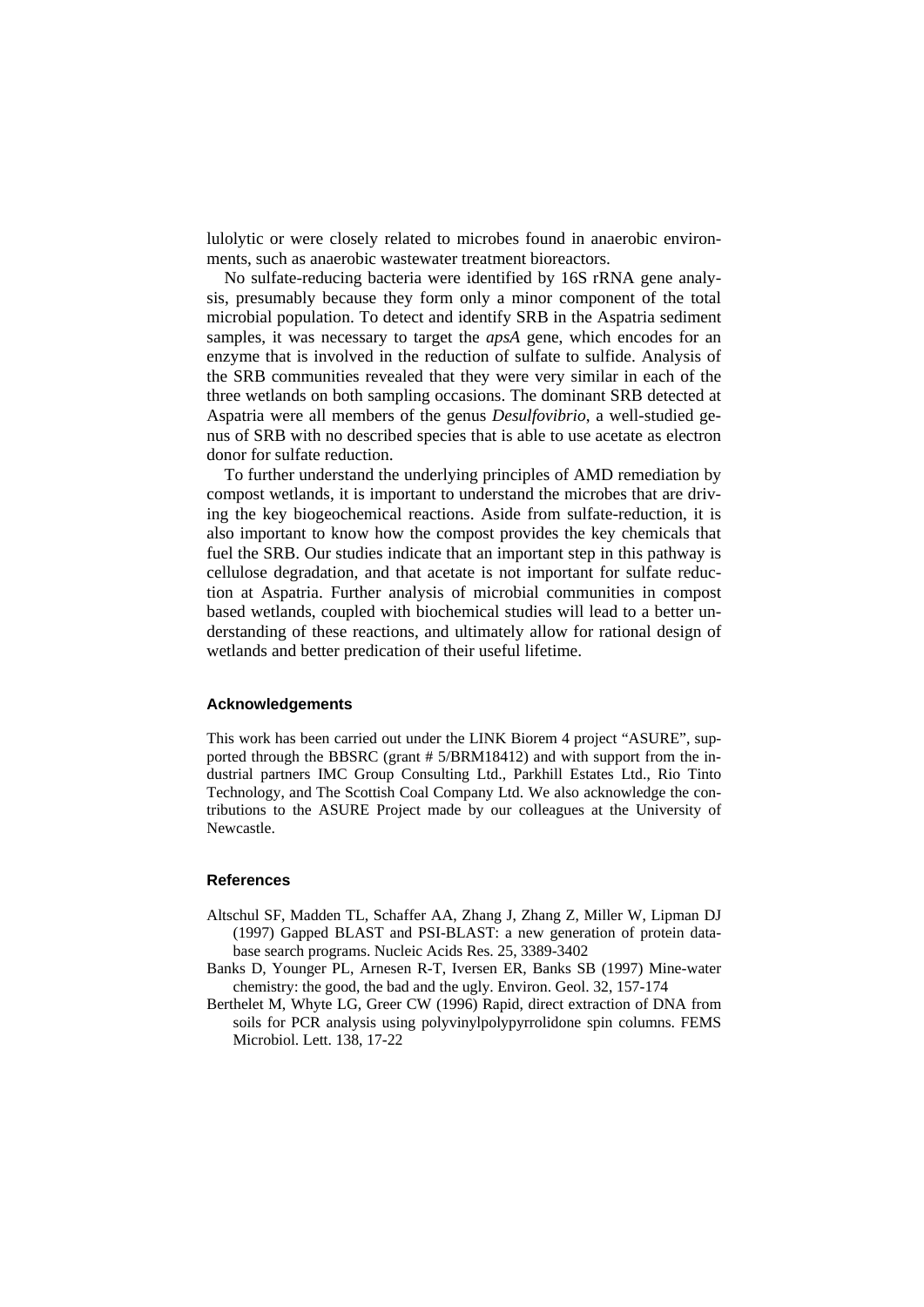lulolytic or were closely related to microbes found in anaerobic environments, such as anaerobic wastewater treatment bioreactors.

No sulfate-reducing bacteria were identified by 16S rRNA gene analysis, presumably because they form only a minor component of the total microbial population. To detect and identify SRB in the Aspatria sediment samples, it was necessary to target the *apsA* gene, which encodes for an enzyme that is involved in the reduction of sulfate to sulfide. Analysis of the SRB communities revealed that they were very similar in each of the three wetlands on both sampling occasions. The dominant SRB detected at Aspatria were all members of the genus *Desulfovibrio*, a well-studied genus of SRB with no described species that is able to use acetate as electron donor for sulfate reduction.

To further understand the underlying principles of AMD remediation by compost wetlands, it is important to understand the microbes that are driving the key biogeochemical reactions. Aside from sulfate-reduction, it is also important to know how the compost provides the key chemicals that fuel the SRB. Our studies indicate that an important step in this pathway is cellulose degradation, and that acetate is not important for sulfate reduction at Aspatria. Further analysis of microbial communities in compost based wetlands, coupled with biochemical studies will lead to a better understanding of these reactions, and ultimately allow for rational design of wetlands and better predication of their useful lifetime.

#### **Acknowledgements**

This work has been carried out under the LINK Biorem 4 project "ASURE", supported through the BBSRC (grant # 5/BRM18412) and with support from the industrial partners IMC Group Consulting Ltd., Parkhill Estates Ltd., Rio Tinto Technology, and The Scottish Coal Company Ltd. We also acknowledge the contributions to the ASURE Project made by our colleagues at the University of Newcastle.

#### **References**

- Altschul SF, Madden TL, Schaffer AA, Zhang J, Zhang Z, Miller W, Lipman DJ (1997) Gapped BLAST and PSI-BLAST: a new generation of protein database search programs. Nucleic Acids Res. 25, 3389-3402
- Banks D, Younger PL, Arnesen R-T, Iversen ER, Banks SB (1997) Mine-water chemistry: the good, the bad and the ugly. Environ. Geol. 32, 157-174
- Berthelet M, Whyte LG, Greer CW (1996) Rapid, direct extraction of DNA from soils for PCR analysis using polyvinylpolypyrrolidone spin columns. FEMS Microbiol. Lett. 138, 17-22